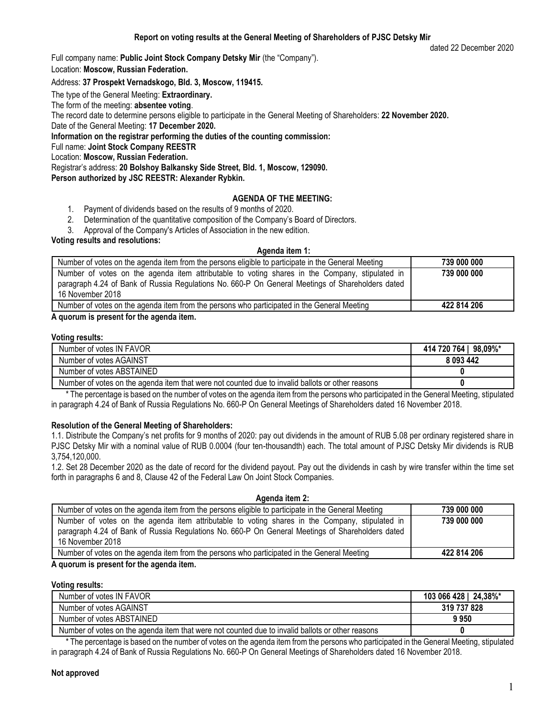dated 22 December 2020

Full company name: **Public Joint Stock Company Detsky Mir** (the "Company").

Location: **Moscow, Russian Federation.**

## Address: **37 Prospekt Vernadskogo, Bld. 3, Moscow, 119415.**

The type of the General Meeting: **Extraordinary.**

The form of the meeting: **absentee voting**.

The record date to determine persons eligible to participate in the General Meeting of Shareholders: **22 November 2020.**

Date of the General Meeting: **17 December 2020.**

**Information on the registrar performing the duties of the counting commission:**

Full name: **Joint Stock Company REESTR**

Location: **Moscow, Russian Federation.**

Registrar's address: **20 Bolshoy Balkansky Side Street, Bld. 1, Moscow, 129090.**

**Person authorized by JSC REESTR: Alexander Rybkin.**

## **AGENDA OF THE MEETING:**

- 1. Payment of dividends based on the results of 9 months of 2020.
- 2. Determination of the quantitative composition of the Company's Board of Directors.

3. Approval of the Company's Articles of Association in the new edition.

**Voting results and resolutions:**

#### **Agenda item 1:**

| Number of votes on the agenda item from the persons eligible to participate in the General Meeting                                                                                                                     | 739 000 000 |
|------------------------------------------------------------------------------------------------------------------------------------------------------------------------------------------------------------------------|-------------|
| Number of votes on the agenda item attributable to voting shares in the Company, stipulated in<br>paragraph 4.24 of Bank of Russia Regulations No. 660-P On General Meetings of Shareholders dated<br>16 November 2018 | 739 000 000 |
| Number of votes on the agenda item from the persons who participated in the General Meeting                                                                                                                            | 422 814 206 |

## **A quorum is present for the agenda item.**

#### **Voting results:**

| Number of votes IN FAVOR                                                                         | 414 720 764   98,09%* |
|--------------------------------------------------------------------------------------------------|-----------------------|
| Number of votes AGAINST                                                                          | 8 093 442             |
| Number of votes ABSTAINED                                                                        |                       |
| Number of votes on the agenda item that were not counted due to invalid ballots or other reasons |                       |

 \* The percentage is based on the number of votes on the agenda item from the persons who participated in the General Meeting, stipulated in paragraph 4.24 of Bank of Russia Regulations No. 660-P On General Meetings of Shareholders dated 16 November 2018.

## **Resolution of the General Meeting of Shareholders:**

1.1. Distribute the Company's net profits for 9 months of 2020: pay out dividends in the amount of RUB 5.08 per ordinary registered share in PJSC Detsky Mir with a nominal value of RUB 0.0004 (four ten-thousandth) each. The total amount of PJSC Detsky Mir dividends is RUB 3,754,120,000.

1.2. Set 28 December 2020 as the date of record for the dividend payout. Pay out the dividends in cash by wire transfer within the time set forth in paragraphs 6 and 8, Clause 42 of the Federal Law On Joint Stock Companies.

| Agenda item 2:                                                                                                                                                                                                         |             |  |
|------------------------------------------------------------------------------------------------------------------------------------------------------------------------------------------------------------------------|-------------|--|
| Number of votes on the agenda item from the persons eligible to participate in the General Meeting                                                                                                                     | 739 000 000 |  |
| Number of votes on the agenda item attributable to voting shares in the Company, stipulated in<br>paragraph 4.24 of Bank of Russia Regulations No. 660-P On General Meetings of Shareholders dated<br>16 November 2018 | 739 000 000 |  |
| Number of votes on the agenda item from the persons who participated in the General Meeting                                                                                                                            | 422 814 206 |  |
|                                                                                                                                                                                                                        |             |  |

#### **A quorum is present for the agenda item.**

**Voting results:**

| Number of votes IN FAVOR                                                                         | 103 066 428   24,38%* |
|--------------------------------------------------------------------------------------------------|-----------------------|
| Number of votes AGAINST                                                                          | 319 737 828           |
| Number of votes ABSTAINED                                                                        | 9950                  |
| Number of votes on the agenda item that were not counted due to invalid ballots or other reasons |                       |

 \* The percentage is based on the number of votes on the agenda item from the persons who participated in the General Meeting, stipulated in paragraph 4.24 of Bank of Russia Regulations No. 660-P On General Meetings of Shareholders dated 16 November 2018.

## **Not approved**